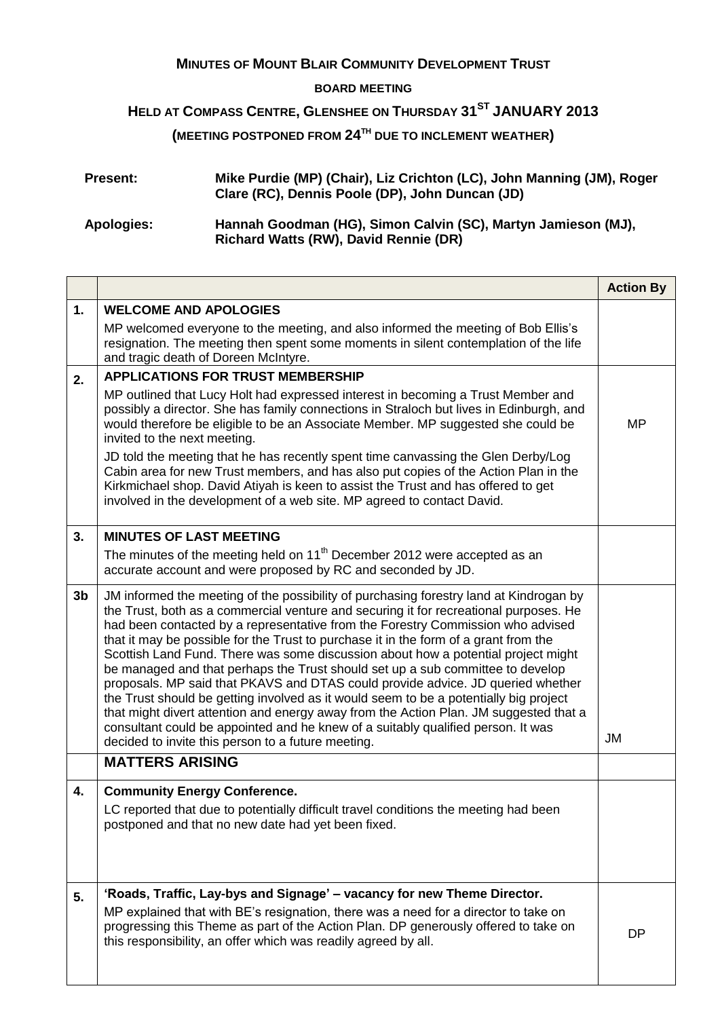## **MINUTES OF MOUNT BLAIR COMMUNITY DEVELOPMENT TRUST**

## **BOARD MEETING**

## **HELD AT COMPASS CENTRE, GLENSHEE ON THURSDAY 31ST JANUARY 2013**

**(MEETING POSTPONED FROM 24TH DUE TO INCLEMENT WEATHER)**

| <b>Present:</b> | Mike Purdie (MP) (Chair), Liz Crichton (LC), John Manning (JM), Roger<br>Clare (RC), Dennis Poole (DP), John Duncan (JD) |
|-----------------|--------------------------------------------------------------------------------------------------------------------------|
| Apologies:      | Hannah Goodman (HG), Simon Calvin (SC), Martyn Jamieson (MJ),<br><b>Richard Watts (RW), David Rennie (DR)</b>            |

|                |                                                                                                                                                                                                                                                                                                                                                                                                                                                                                                                                                                                                                                                                                                                                                                                                                                                                                                                                                  | <b>Action By</b> |
|----------------|--------------------------------------------------------------------------------------------------------------------------------------------------------------------------------------------------------------------------------------------------------------------------------------------------------------------------------------------------------------------------------------------------------------------------------------------------------------------------------------------------------------------------------------------------------------------------------------------------------------------------------------------------------------------------------------------------------------------------------------------------------------------------------------------------------------------------------------------------------------------------------------------------------------------------------------------------|------------------|
| 1.             | <b>WELCOME AND APOLOGIES</b>                                                                                                                                                                                                                                                                                                                                                                                                                                                                                                                                                                                                                                                                                                                                                                                                                                                                                                                     |                  |
|                | MP welcomed everyone to the meeting, and also informed the meeting of Bob Ellis's<br>resignation. The meeting then spent some moments in silent contemplation of the life<br>and tragic death of Doreen McIntyre.                                                                                                                                                                                                                                                                                                                                                                                                                                                                                                                                                                                                                                                                                                                                |                  |
| 2.             | <b>APPLICATIONS FOR TRUST MEMBERSHIP</b>                                                                                                                                                                                                                                                                                                                                                                                                                                                                                                                                                                                                                                                                                                                                                                                                                                                                                                         |                  |
|                | MP outlined that Lucy Holt had expressed interest in becoming a Trust Member and<br>possibly a director. She has family connections in Straloch but lives in Edinburgh, and<br>would therefore be eligible to be an Associate Member. MP suggested she could be<br>invited to the next meeting.                                                                                                                                                                                                                                                                                                                                                                                                                                                                                                                                                                                                                                                  | <b>MP</b>        |
|                | JD told the meeting that he has recently spent time canvassing the Glen Derby/Log<br>Cabin area for new Trust members, and has also put copies of the Action Plan in the<br>Kirkmichael shop. David Atiyah is keen to assist the Trust and has offered to get<br>involved in the development of a web site. MP agreed to contact David.                                                                                                                                                                                                                                                                                                                                                                                                                                                                                                                                                                                                          |                  |
| 3.             | <b>MINUTES OF LAST MEETING</b>                                                                                                                                                                                                                                                                                                                                                                                                                                                                                                                                                                                                                                                                                                                                                                                                                                                                                                                   |                  |
|                | The minutes of the meeting held on 11 <sup>th</sup> December 2012 were accepted as an<br>accurate account and were proposed by RC and seconded by JD.                                                                                                                                                                                                                                                                                                                                                                                                                                                                                                                                                                                                                                                                                                                                                                                            |                  |
| 3 <sub>b</sub> | JM informed the meeting of the possibility of purchasing forestry land at Kindrogan by<br>the Trust, both as a commercial venture and securing it for recreational purposes. He<br>had been contacted by a representative from the Forestry Commission who advised<br>that it may be possible for the Trust to purchase it in the form of a grant from the<br>Scottish Land Fund. There was some discussion about how a potential project might<br>be managed and that perhaps the Trust should set up a sub committee to develop<br>proposals. MP said that PKAVS and DTAS could provide advice. JD queried whether<br>the Trust should be getting involved as it would seem to be a potentially big project<br>that might divert attention and energy away from the Action Plan. JM suggested that a<br>consultant could be appointed and he knew of a suitably qualified person. It was<br>decided to invite this person to a future meeting. | JM               |
|                | <b>MATTERS ARISING</b>                                                                                                                                                                                                                                                                                                                                                                                                                                                                                                                                                                                                                                                                                                                                                                                                                                                                                                                           |                  |
| 4.             | <b>Community Energy Conference.</b><br>LC reported that due to potentially difficult travel conditions the meeting had been<br>postponed and that no new date had yet been fixed.                                                                                                                                                                                                                                                                                                                                                                                                                                                                                                                                                                                                                                                                                                                                                                |                  |
| 5.             | 'Roads, Traffic, Lay-bys and Signage' - vacancy for new Theme Director.<br>MP explained that with BE's resignation, there was a need for a director to take on<br>progressing this Theme as part of the Action Plan. DP generously offered to take on<br>this responsibility, an offer which was readily agreed by all.                                                                                                                                                                                                                                                                                                                                                                                                                                                                                                                                                                                                                          | <b>DP</b>        |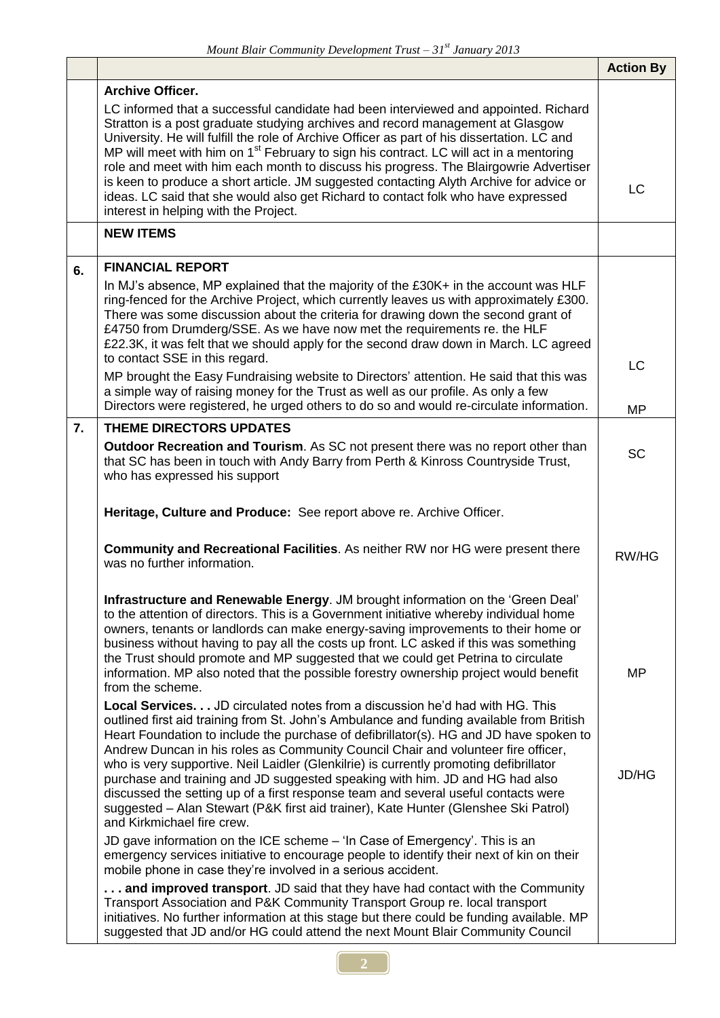|    |                                                                                                                                                                                                                                                                                                                                                                                                                                                                                                                                                                                                                                                                                              | <b>Action By</b> |
|----|----------------------------------------------------------------------------------------------------------------------------------------------------------------------------------------------------------------------------------------------------------------------------------------------------------------------------------------------------------------------------------------------------------------------------------------------------------------------------------------------------------------------------------------------------------------------------------------------------------------------------------------------------------------------------------------------|------------------|
|    | <b>Archive Officer.</b>                                                                                                                                                                                                                                                                                                                                                                                                                                                                                                                                                                                                                                                                      |                  |
|    | LC informed that a successful candidate had been interviewed and appointed. Richard<br>Stratton is a post graduate studying archives and record management at Glasgow<br>University. He will fulfill the role of Archive Officer as part of his dissertation. LC and<br>MP will meet with him on 1 <sup>st</sup> February to sign his contract. LC will act in a mentoring<br>role and meet with him each month to discuss his progress. The Blairgowrie Advertiser<br>is keen to produce a short article. JM suggested contacting Alyth Archive for advice or<br>ideas. LC said that she would also get Richard to contact folk who have expressed<br>interest in helping with the Project. | LC               |
|    | <b>NEW ITEMS</b>                                                                                                                                                                                                                                                                                                                                                                                                                                                                                                                                                                                                                                                                             |                  |
| 6. | <b>FINANCIAL REPORT</b>                                                                                                                                                                                                                                                                                                                                                                                                                                                                                                                                                                                                                                                                      |                  |
|    | In MJ's absence, MP explained that the majority of the £30K+ in the account was HLF<br>ring-fenced for the Archive Project, which currently leaves us with approximately £300.<br>There was some discussion about the criteria for drawing down the second grant of<br>£4750 from Drumderg/SSE. As we have now met the requirements re. the HLF<br>£22.3K, it was felt that we should apply for the second draw down in March. LC agreed<br>to contact SSE in this regard.                                                                                                                                                                                                                   |                  |
|    | MP brought the Easy Fundraising website to Directors' attention. He said that this was<br>a simple way of raising money for the Trust as well as our profile. As only a few<br>Directors were registered, he urged others to do so and would re-circulate information.                                                                                                                                                                                                                                                                                                                                                                                                                       | LC               |
| 7. | THEME DIRECTORS UPDATES                                                                                                                                                                                                                                                                                                                                                                                                                                                                                                                                                                                                                                                                      | <b>MP</b>        |
|    | <b>Outdoor Recreation and Tourism.</b> As SC not present there was no report other than<br>that SC has been in touch with Andy Barry from Perth & Kinross Countryside Trust,<br>who has expressed his support                                                                                                                                                                                                                                                                                                                                                                                                                                                                                | <b>SC</b>        |
|    | Heritage, Culture and Produce: See report above re. Archive Officer.                                                                                                                                                                                                                                                                                                                                                                                                                                                                                                                                                                                                                         |                  |
|    | <b>Community and Recreational Facilities.</b> As neither RW nor HG were present there<br>was no further information.                                                                                                                                                                                                                                                                                                                                                                                                                                                                                                                                                                         | RW/HG            |
|    | Infrastructure and Renewable Energy. JM brought information on the 'Green Deal'<br>to the attention of directors. This is a Government initiative whereby individual home<br>owners, tenants or landlords can make energy-saving improvements to their home or<br>business without having to pay all the costs up front. LC asked if this was something<br>the Trust should promote and MP suggested that we could get Petrina to circulate<br>information. MP also noted that the possible forestry ownership project would benefit<br>from the scheme.<br><b>Local Services</b> JD circulated notes from a discussion he'd had with HG. This                                               | MP               |
|    | outlined first aid training from St. John's Ambulance and funding available from British<br>Heart Foundation to include the purchase of defibrillator(s). HG and JD have spoken to<br>Andrew Duncan in his roles as Community Council Chair and volunteer fire officer,<br>who is very supportive. Neil Laidler (Glenkilrie) is currently promoting defibrillator<br>purchase and training and JD suggested speaking with him. JD and HG had also<br>discussed the setting up of a first response team and several useful contacts were<br>suggested - Alan Stewart (P&K first aid trainer), Kate Hunter (Glenshee Ski Patrol)<br>and Kirkmichael fire crew.                                 | <b>JD/HG</b>     |
|    | JD gave information on the ICE scheme - 'In Case of Emergency'. This is an<br>emergency services initiative to encourage people to identify their next of kin on their<br>mobile phone in case they're involved in a serious accident.                                                                                                                                                                                                                                                                                                                                                                                                                                                       |                  |
|    | and improved transport. JD said that they have had contact with the Community<br>Transport Association and P&K Community Transport Group re. local transport<br>initiatives. No further information at this stage but there could be funding available. MP<br>suggested that JD and/or HG could attend the next Mount Blair Community Council                                                                                                                                                                                                                                                                                                                                                |                  |